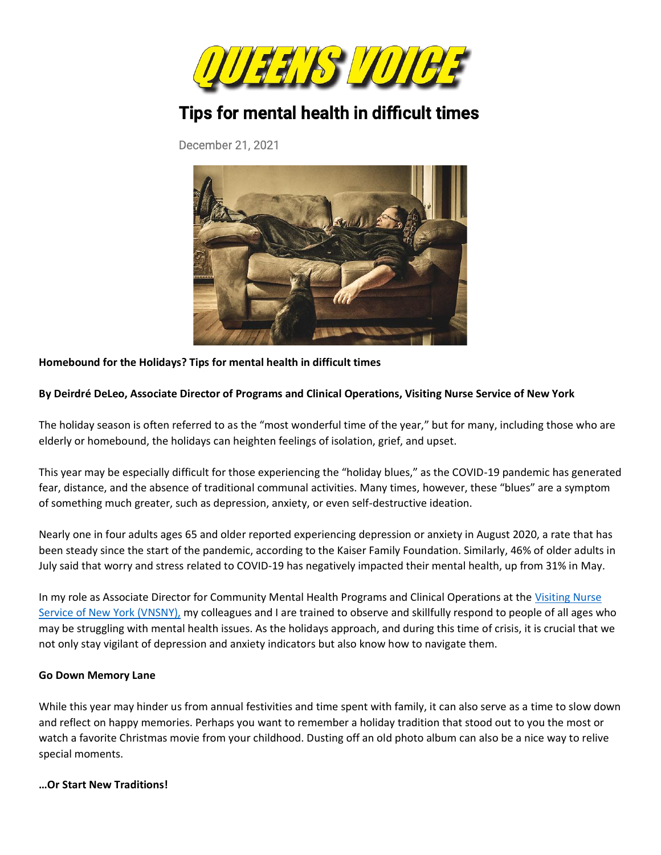

# Tips for mental health in difficult times

December 21, 2021



#### **Homebound for the Holidays? Tips for mental health in difficult times**

#### **By Deirdré DeLeo, Associate Director of Programs and Clinical Operations, Visiting Nurse Service of New York**

The holiday season is often referred to as the "most wonderful time of the year," but for many, including those who are elderly or homebound, the holidays can heighten feelings of isolation, grief, and upset.

This year may be especially difficult for those experiencing the "holiday blues," as the COVID-19 pandemic has generated fear, distance, and the absence of traditional communal activities. Many times, however, these "blues" are a symptom of something much greater, such as depression, anxiety, or even self-destructive ideation.

Nearly one in four adults ages 65 and older reported experiencing depression or anxiety in August 2020, a rate that has been steady since the start of the pandemic, according to the Kaiser Family Foundation. Similarly, 46% of older adults in July said that worry and stress related to COVID-19 has negatively impacted their mental health, up from 31% in May.

In my role as Associate Director for Community Mental Health Programs and Clinical Operations at the [Visiting Nurse](https://kingcompr-my.sharepoint.com/personal/michael_richards_kingcompr_com/Documents/P%2520Drive%2520as%2520of%25207-9-20/266%2520-%2520VNSNY/2020%2520Folder/2020%2520Bylines/vnsny.org)  [Service of New York \(VNSNY\),](https://kingcompr-my.sharepoint.com/personal/michael_richards_kingcompr_com/Documents/P%2520Drive%2520as%2520of%25207-9-20/266%2520-%2520VNSNY/2020%2520Folder/2020%2520Bylines/vnsny.org) my colleagues and I are trained to observe and skillfully respond to people of all ages who may be struggling with mental health issues. As the holidays approach, and during this time of crisis, it is crucial that we not only stay vigilant of depression and anxiety indicators but also know how to navigate them.

#### **Go Down Memory Lane**

While this year may hinder us from annual festivities and time spent with family, it can also serve as a time to slow down and reflect on happy memories. Perhaps you want to remember a holiday tradition that stood out to you the most or watch a favorite Christmas movie from your childhood. Dusting off an old photo album can also be a nice way to relive special moments.

#### **…Or Start New Traditions!**